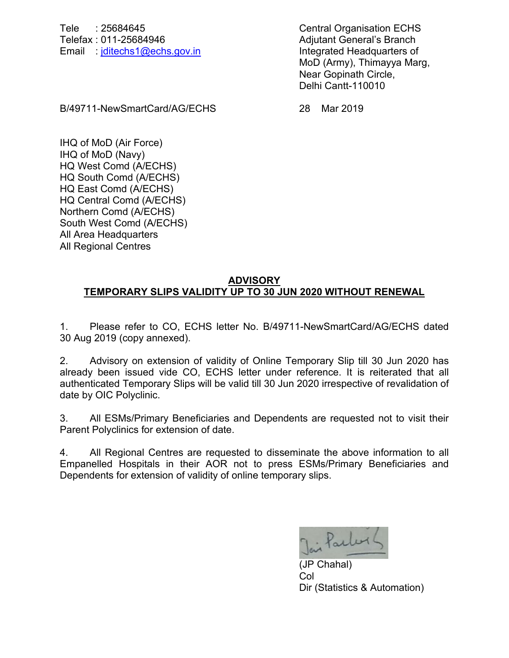Tele : 25684645 Central Organisation ECHS Telefax : 011-25684946 Adjutant General's Branch Email : [jditechs1@echs.gov.in](mailto:jditechs1@echs.gov.in) Integrated Headquarters of

MoD (Army), Thimayya Marg, Near Gopinath Circle, Delhi Cantt-110010

B/49711-NewSmartCard/AG/ECHS 28 Mar 2019

IHQ of MoD (Air Force) IHQ of MoD (Navy) HQ West Comd (A/ECHS) HQ South Comd (A/ECHS) HQ East Comd (A/ECHS) HQ Central Comd (A/ECHS) Northern Comd (A/ECHS) South West Comd (A/ECHS) All Area Headquarters All Regional Centres

## **ADVISORY TEMPORARY SLIPS VALIDITY UP TO 30 JUN 2020 WITHOUT RENEWAL**

1. Please refer to CO, ECHS letter No. B/49711-NewSmartCard/AG/ECHS dated 30 Aug 2019 (copy annexed).

2. Advisory on extension of validity of Online Temporary Slip till 30 Jun 2020 has already been issued vide CO, ECHS letter under reference. It is reiterated that all authenticated Temporary Slips will be valid till 30 Jun 2020 irrespective of revalidation of date by OIC Polyclinic.

3. All ESMs/Primary Beneficiaries and Dependents are requested not to visit their Parent Polyclinics for extension of date.

4. All Regional Centres are requested to disseminate the above information to all Empanelled Hospitals in their AOR not to press ESMs/Primary Beneficiaries and Dependents for extension of validity of online temporary slips.

Jai Par

(JP Chahal) Col Dir (Statistics & Automation)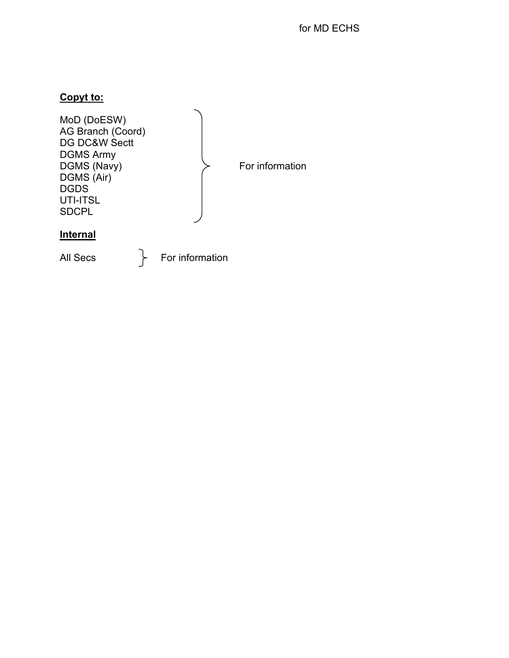## **Copyt to:**

| MoD (DoESW)<br>AG Branch (Coord)<br>DG DC&W Sectt<br><b>DGMS Army</b><br>DGMS (Navy)<br>DGMS (Air)<br><b>DGDS</b><br>UTI-ITSL<br><b>SDCPL</b> |                 | For information |
|-----------------------------------------------------------------------------------------------------------------------------------------------|-----------------|-----------------|
| <b>Internal</b>                                                                                                                               |                 |                 |
| All Secs                                                                                                                                      | For information |                 |